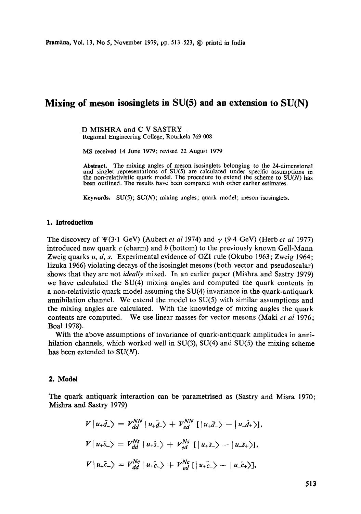# **Mixing of meson isosinglets in SU(5) and an extension to SU(N)**

D MISHRA and C V SASTRY Regional Engineering College, Rourkela 769 008

MS received 14 June 1979; revised 22 August 1979

Abstract. The mixing angles of meson isosinglets belonging to the 24-dimensional and singlet representations of SU(5) are calculated under specific assumptions in the non-relativistic quark model. The procedure to extend the scheme to  $SU(N)$  has been outlined. The results have been compared with other earlier estimates.

**Keywords.** SU(5); SU(N); mixing angles; quark model; meson isosinglets.

## **1. Introduction**

The discovery of  $\Psi(3.1 \text{ GeV})$  (Aubert *et al* 1974) and  $\gamma$  (9.4 GeV) (Herb *et al* 1977) introduced new quark c (charm) and b (bottom) to the previously known Gell-Mann Zweig quarks u, d, s. Experimental evidence of OZI rule (Okubo 1963; Zweig 1964; Iizuka 1966) violating decays of the isosinglet mesons (both vector and pseudoscalar) shows that they are not *ideally* mixed. In an earlier paper (Mishra and Sastry 1979) we have calculated the SU(4) mixing angles and computed the quark contents in a non-relativistic quark model assuming the SU(4) invariance in the quark-antiquark annihilation channel. We extend the model to  $SU(5)$  with similar assumptions and the mixing angles are calculated. With the knowledge of mixing angles the quark contents are computed. We use linear masses for vector mesons (Maki *et al* 1976; Boal 1978).

With the above assumptions of invariance of quark-antiquark amplitudes in annihilation channels, which worked well in  $SU(3)$ ,  $SU(4)$  and  $SU(5)$  the mixing scheme has been extended to  $SU(N)$ .

### **2. Model**

The quark antiquark interaction can be parametrised as (Sastry and Misra 1970; Mishra and Sastry 1979)

$$
V | u_+\bar{d}_-\rangle = V_{dd}^{NN} | u_+\bar{d}_-\rangle + V_{ed}^{NN} [| u_+\bar{d}_-\rangle - | u_-\bar{d}_+\rangle],
$$
  
\n
$$
V | u_+\bar{s}_-\rangle = V_{dd}^{Ns} | u_+\bar{s}_-\rangle + V_{ed}^{Ns} [| u_+\bar{s}_-\rangle - | u_-\bar{s}_+\rangle],
$$
  
\n
$$
V | u_+\bar{c}_-\rangle = V_{dd}^{Nc} | u_+\bar{c}_-\rangle + V_{ed}^{Nc} [| u_+\bar{c}_-\rangle - | u_-\bar{c}_+\rangle],
$$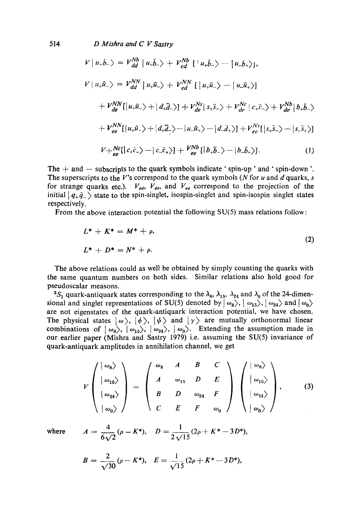514 *D Mishra and C V Sastry* 

$$
V | u_+\bar{b}_-\rangle = V_{dd}^{Nb} | u_+\bar{b}_-\rangle + V_{ed}^{Nb} [ | u_+\bar{b}_-\rangle - | u_-\bar{b}_+\rangle],
$$
  
\n
$$
V | u_+\bar{u}_-\rangle = V_{dd}^{NN} | u_+\bar{u}_-\rangle + V_{ed}^{NN} [ | u_+\bar{u}_-\rangle - | u_-\bar{u}_+\rangle ]
$$
  
\n
$$
+ V_{de}^{NN} [ | u_+\bar{u}_-\rangle + | d_+\bar{d}_-\rangle ] + V_{de}^{Ns} | s_+\bar{s}_-\rangle + V_{de}^{Nc} | c_+\bar{c}_-\rangle + V_{de}^{Nb} | b_+\bar{b}_-\rangle
$$
  
\n
$$
+ V_{ee}^{NN} [ | u_+\bar{u}_-\rangle + | d_+\bar{d}_-\rangle - | u_-\bar{u}_+\rangle - | d_-\bar{d}_+\rangle ] + V_{ee}^{Ns} [ | s_+\bar{s}_-\rangle - | s_-\bar{s}_+\rangle ]
$$
  
\n
$$
V + V_{ee}^{NC} | c_+\bar{c}_-\rangle - | c_-\bar{c}_+\rangle ] + V_{ee}^{Nb} [ | b_+\bar{b}_-\rangle - | b_-\bar{b}_+\rangle].
$$
  
\n(1)

The  $+$  and  $-$  subscripts to the quark symbols indicate ' spin-up ' and ' spin-down '. The superscripts to the V's correspond to the quark symbols (N for u and d quarks, s for strange quarks etc.).  $V_{ed}$ ,  $V_{de}$ , and  $V_{ee}$  correspond to the projection of the initial  $|q_+\bar{q}_-\rangle$  state to the spin-singlet, isospin-singlet and spin-isospin singlet states respectively.

From the above interaction potential the following  $SU(5)$  mass relations follow:

$$
L^* + K^* = M^* + \rho,
$$
  
\n
$$
L^* + D^* = N^* + \rho.
$$
\n(2)

The above relations could as well be obtained by simply counting the quarks with the same quantum numbers on both sides. Similar relations also hold good for pseudoscalar measons.

<sup>3</sup>S<sub>1</sub> quark-antiquark states corresponding to the  $\lambda_8$ ,  $\lambda_{15}$ ,  $\lambda_{24}$  and  $\lambda_0$  of the 24-dimensional and singlet representations of SU(5) denoted by  $\omega_8$ ,  $\omega_{15}$ ,  $\omega_{24}$  and  $\omega_0$ are not eigenstates of the quark-antiquark interaction potential, we have chosen. The physical states  $|\omega\rangle$ ,  $|\phi\rangle$ ,  $|\psi\rangle$  and  $|\gamma\rangle$  are mutually orthonormal linear combinations of  $|\omega_8\rangle$ ,  $|\omega_{15}\rangle$ ,  $|\omega_{24}\rangle$ ,  $|\omega_9\rangle$ . Extending the assumption made in our earlier paper (Mishra and Sastry 1979) i.e. assuming the SU(5) invariance of quark-antiquark amplitudes in annihilation channel, we get

$$
V\begin{pmatrix} |\omega_8\rangle \\ |\omega_{15}\rangle \\ |\omega_{24}\rangle \\ |\omega_0\rangle \end{pmatrix} = \begin{pmatrix} \omega_8 & A & B & C \\ A & \omega_{15} & D & E \\ B & D & \omega_{24} & F \\ C & E & F & \omega_0 \end{pmatrix} \begin{pmatrix} |\omega_8\rangle \\ |\omega_{15}\rangle \\ |\omega_{24}\rangle \\ |\omega_0\rangle \end{pmatrix}, \qquad (3)
$$

where 
$$
A = \frac{4}{6\sqrt{2}} (\rho - K^*), D = \frac{1}{2\sqrt{15}} (2\rho + K^* - 3D^*),
$$

$$
B=\frac{2}{\sqrt{30}}(\rho-K^*), \quad E=\frac{1}{\sqrt{15}}(2\rho+K^*-3D^*),
$$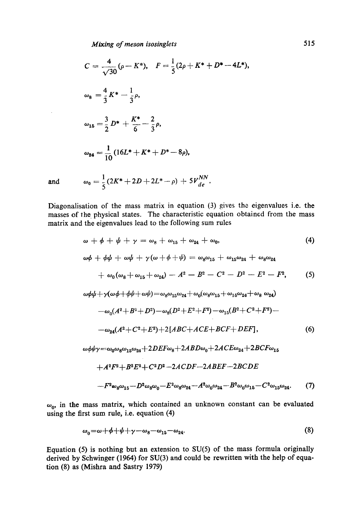$$
C = \frac{4}{\sqrt{30}} (\rho - K^*), \quad F = \frac{1}{5} (2\rho + K^* + D^* - 4L^*),
$$
  
\n
$$
\omega_8 = \frac{4}{3} K^* - \frac{1}{3} \rho,
$$
  
\n
$$
\omega_{15} = \frac{3}{2} D^* + \frac{K^*}{6} - \frac{2}{3} \rho,
$$
  
\n
$$
\omega_{24} = \frac{1}{10} (16L^* + K^* + D^* - 8\rho),
$$

and 
$$
\omega_0 = \frac{1}{5}(2K^* + 2D + 2L^* - \rho) + 5V_{de}^{NN}.
$$

Diagonalisation of the mass matrix in equation (3) gives the eigenvalues i.e. the masses of the physical states. The characteristic equation obtained from the mass matrix and the eigenvalues lead to the following sum rules

$$
\omega + \phi + \psi + \gamma = \omega_8 + \omega_{15} + \omega_{24} + \omega_0,
$$
\n
$$
\omega\phi + \phi\psi + \omega\psi + \gamma(\omega + \phi + \psi) = \omega_8\omega_{15} + \omega_{15}\omega_{24} + \omega_8\omega_{24}
$$
\n
$$
+ \omega_0(\omega_8 + \omega_{15} + \omega_{24}) - A^2 - B^2 - C^2 - D^2 - E^2 - F^2,
$$
\n(5)\n
$$
\omega\phi\psi + \gamma(\omega\phi + \phi\psi + \omega\psi) = \omega_8\omega_{15}\omega_{24} + \omega_0(\omega_8\omega_{15} + \omega_{15}\omega_{24} + \omega_8\omega_{24})
$$
\n
$$
- \omega_0(A^2 + B^2 + D^2) - \omega_8(D^2 + E^2 + F^2) - \omega_{15}(B^2 + C^2 + F^2) -
$$
\n
$$
- \omega_{24}(A^2 + C^2 + E^2) + 2[ABC + ACE + BCF + DEF],
$$
\n(6)\n
$$
\omega\phi\psi\gamma = \omega_0\omega_8\omega_{15}\omega_{24} + 2DEF\omega_8 + 2ABD\omega_0 + 2ACE\omega_{24} + 2BCF\omega_{15}
$$
\n
$$
+ A^2F^2 + B^2E^2 + C^2D^2 - 2ACDF - 2ABEF - 2BCDE
$$
\n
$$
-F^2\omega_8\omega_{15} - D^2\omega_8\omega_0 - E^2\omega_8\omega_{24} - A^2\omega_0\omega_{24} - B^2\omega_0\omega_{15} - C^2\omega_{15}\omega_{24}.
$$
\n(7)

 $\omega_0$ , in the mass matrix, which contained an unknown constant can be evaluated using the first sum rule, i.e. equation (4)

$$
\omega_0 = \omega + \phi + \psi + \gamma - \omega_8 - \omega_{15} - \omega_{24}.\tag{8}
$$

Equation (5) is nothing but an extension to SU(5) of the mass formula originally derived by Schwinger (1964) for SU(3) and could be rewritten with the help of equation (8) as (Mishra and Sastry 1979)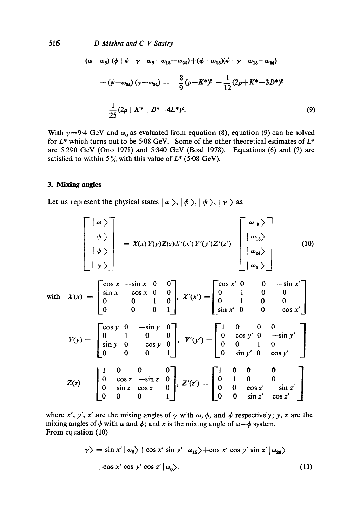D Mishra and C V Sastry

$$
(\omega - \omega_8) (\phi + \psi + \gamma - \omega_8 - \omega_{15} - \omega_{24}) + (\phi - \omega_{15}) (\psi + \gamma - \omega_{15} - \omega_{24})
$$
  
+ 
$$
(\psi - \omega_{24}) (\gamma - \omega_{24}) = -\frac{8}{9} (\rho - K^*)^2 - \frac{1}{12} (2\rho + K^* - 3D^*)^2
$$
  
- 
$$
\frac{1}{25} (2\rho + K^* + D^* - 4L^*)^2.
$$
 (9)

With  $\gamma = 9.4$  GeV and  $\omega_0$  as evaluated from equation (8), equation (9) can be solved for  $L^*$  which turns out to be 5.08 GeV. Some of the other theoretical estimates of  $L^*$ are 5.290 GeV (Ono 1978) and 5.340 GeV (Boal 1978). Equations (6) and (7) are satisfied to within 5% with this value of  $L^*$  (5.08 GeV).

# 3. Mixing angles

Let us represent the physical states  $| \omega \rangle, | \phi \rangle, | \psi \rangle, | \gamma \rangle$  as

$$
\begin{bmatrix}\n|\omega \rangle \\
|\phi \rangle \\
|\psi \rangle \\
|\gamma \rangle\n\end{bmatrix} = X(x)Y(y)Z(z)X'(x')Y'(y')Z'(z') \begin{bmatrix}\n|\omega_{\mathbf{1}}\rangle \\
|\omega_{\mathbf{2}}\rangle \\
|\omega_{\mathbf{2}}\rangle\n\end{bmatrix} \qquad (10)
$$
\nwith\n
$$
X(x) = \begin{bmatrix}\n\cos x & -\sin x & 0 & 0 \\
\sin x & \cos x & 0 & 0 \\
0 & 0 & 1 & 0 \\
0 & 0 & 0 & 1\n\end{bmatrix}, X'(x') = \begin{bmatrix}\n\cos x' & 0 & 0 & -\sin x' \\
0 & 1 & 0 & 0 \\
0 & 1 & 0 & 0 \\
\sin x' & 0 & 0 & \cos x'\n\end{bmatrix}
$$
\n
$$
Y(y) = \begin{bmatrix}\n\cos y & 0 & -\sin y & 0 \\
0 & 1 & 0 & 0 \\
0 & 0 & 0 & 1\n\end{bmatrix}, Y'(y') = \begin{bmatrix}\n1 & 0 & 0 & 0 & 0 \\
0 & \cos y' & 0 & -\sin y' \\
0 & 0 & 1 & 0 & 0 \\
0 & \sin y' & 0 & \cos y'\n\end{bmatrix}
$$
\n
$$
Z(z) = \begin{bmatrix}\n1 & 0 & 0 & 0 & 0 \\
0 & \cos z & -\sin z & 0 \\
0 & \sin z & \cos z & 0 \\
0 & 0 & 0 & 1\n\end{bmatrix}, Z'(z') = \begin{bmatrix}\n1 & 0 & 0 & 0 & 0 \\
0 & 1 & 0 & 0 & 0 \\
0 & 0 & \cos z' & -\sin z' \\
0 & 0 & \sin z' & \cos z'\n\end{bmatrix}
$$

where x', y', z' are the mixing angles of  $\gamma$  with  $\omega$ ,  $\phi$ , and  $\psi$  respectively; y, z are the mixing angles of  $\psi$  with  $\omega$  and  $\phi$ ; and x is the mixing angle of  $\omega - \phi$  system. From equation (10)

$$
|\gamma\rangle = \sin x' |\omega_8\rangle + \cos x' \sin y' |\omega_{15}\rangle + \cos x' \cos y' \sin z' |\omega_{24}\rangle
$$
  
+ 
$$
\cos x' \cos y' \cos z' |\omega_0\rangle.
$$
 (11)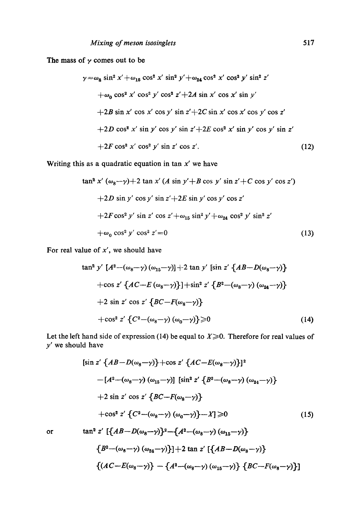The mass of  $\gamma$  comes out to be

$$
\gamma = \omega_8 \sin^2 x' + \omega_{15} \cos^2 x' \sin^2 y' + \omega_{24} \cos^2 x' \cos^2 y' \sin^2 z'
$$
  
+  $\omega_0 \cos^2 x' \cos^2 y' \cos^2 z' + 2A \sin x' \cos x' \sin y'$   
+2B sin x' cos x' cos y' sin z' + 2C sin x' cos x' cos y' cos z'  
+2D cos<sup>2</sup> x' sin y' cos y' sin z' + 2E cos<sup>2</sup> x' sin y' cos y' sin z'  
+2F cos<sup>2</sup> x' cos<sup>2</sup> y' sin z' cos z'. (12)

Writing this as a quadratic equation in tan  $x'$  we have

$$
\tan^2 x' (\omega_8 - \gamma) + 2 \tan x' (A \sin y' + B \cos y' \sin z' + C \cos y' \cos z')
$$
  
+2D sin y' cos y' sin z' + 2E sin y' cos y' cos z'  
+2F cos<sup>2</sup> y' sin z' cos z' + $\omega_{15}$  sin<sup>2</sup> y' +  $\omega_{24}$  cos<sup>2</sup> y' sin<sup>2</sup> z'  
+ $\omega_0$  cos<sup>2</sup> y' cos<sup>2</sup> z' = 0 (13)

For real value of  $x'$ , we should have

$$
\tan^2 y' \left[ A^2 - (\omega_8 - \gamma) (\omega_{15} - \gamma) \right] + 2 \tan y' \left[ \sin z' \left\{ AB - D(\omega_8 - \gamma) \right\} + \cos z' \left\{ AC - E(\omega_8 - \gamma) \right\} \right] + \sin^2 z' \left\{ B^2 - (\omega_8 - \gamma) (\omega_{24} - \gamma) \right\} + 2 \sin z' \cos z' \left\{ BC - F(\omega_8 - \gamma) \right\} + \cos^2 z' \left\{ C^2 - (\omega_8 - \gamma) (\omega_0 - \gamma) \right\} \ge 0 \tag{14}
$$

Let the left hand side of expression (14) be equal to  $X \ge 0$ . Therefore for real values of *y'* we should have

$$
[\sin z' \{AB - D(\omega_8 - \gamma)\} + \cos z' \{AC - E(\omega_8 - \gamma)\}]^2
$$
  
\n
$$
-[A^2 - (\omega_8 - \gamma) (\omega_{15} - \gamma)] [\sin^2 z' \{B^2 - (\omega_8 - \gamma) (\omega_{24} - \gamma)\}
$$
  
\n
$$
+ 2 \sin z' \cos z' \{BC - F(\omega_8 - \gamma)\}
$$
  
\n
$$
+ \cos^2 z' \{C^2 - (\omega_8 - \gamma) (\omega_0 - \gamma)\} - X] \ge 0
$$
  
\nor  
\n
$$
\tan^2 z' [\{AB - D(\omega_8 - \gamma)\}^2 - \{A^2 - (\omega_8 - \gamma) (\omega_{15} - \gamma)\}
$$
  
\n
$$
\{B^2 - (\omega_8 - \gamma) (\omega_{24} - \gamma)\} + 2 \tan z' [\{AB - D(\omega_8 - \gamma)\}
$$
  
\n
$$
\{(AC - E(\omega_8 - \gamma)\} - \{A^2 - (\omega_8 - \gamma) (\omega_{15} - \gamma)\} \{BC - F(\omega_8 - \gamma)\}]
$$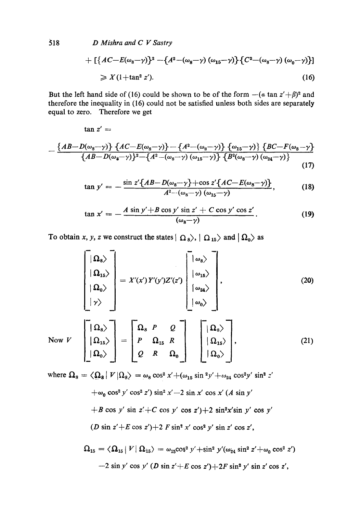$518$ D Mishra and C V Sastry

 $\tan z' =$ 

+ 
$$
\left[\left\{AC - E(\omega_8 - \gamma)\right\}^2 - \left\{A^2 - (\omega_8 - \gamma) (\omega_{15} - \gamma)\right\}\left\{C^2 - (\omega_8 - \gamma) (\omega_0 - \gamma)\right\}\right]
$$

$$
\geqslant X(1+\tan^2 z'). \tag{16}
$$

But the left hand side of (16) could be shown to be of the form  $-(a \tan z' + \beta)^2$  and therefore the inequality in (16) could not be satisfied unless both sides are separately equal to zero. Therefore we get

$$
-\frac{\left\{AB-D(\omega_8-\gamma)\right\}\left\{AC-E(\omega_8-\gamma)\right\}-\left\{A^2-(\omega_8-\gamma)\right\}\left\{\omega_{15}-\gamma\right\}\left\{BC-F(\omega_8-\gamma)\right\}}{\left\{AB-D(\omega_8-\gamma)\right\}^2-\left\{A^2-(\omega_8-\gamma)(\omega_{15}-\gamma)\right\}\left\{B^2(\omega_8-\gamma)(\omega_{24}-\gamma)\right\}}\tag{17}
$$

$$
\tan y' = -\frac{\sin z' \{AB - D(\omega_8 - \gamma) + \cos z' \{AC - E(\omega_8 - \gamma)\}}{A^2 - (\omega_8 - \gamma) (\omega_{15} - \gamma)} ,\tag{18}
$$

$$
\tan x' = -\frac{A \sin y' + B \cos y' \sin z' + C \cos y' \cos z'}{(\omega_8 - \gamma)}.
$$
 (19)

To obtain x, y, z we construct the states  $|\Omega_8\rangle$ ,  $|\Omega_{15}\rangle$  and  $|\Omega_0\rangle$  as

$$
\begin{bmatrix}\n\Omega_8\n\end{bmatrix} = X'(x')Y'(y')Z'(z')\n\begin{bmatrix}\n\omega_8\n\end{bmatrix},
$$
\n(20)\n
$$
\begin{bmatrix}\n\omega_1 \\
\omega_2\n\end{bmatrix},
$$
\n(21)\nNow  $V$ \n
$$
\begin{bmatrix}\n\Omega_8\n\end{bmatrix} = \begin{bmatrix}\n\Omega_8 & P & Q \\
P & \Omega_{15} & R \\
Q & R & \Omega_0\n\end{bmatrix} = \begin{bmatrix}\n\Omega_{15}\n\end{bmatrix},
$$
\n(22)\n(23)

where  $\Omega_8 = \langle \Omega_8 | V | \Omega_8 \rangle = \omega_8 \cos^2 x' + (\omega_{15} \sin^2 y' + \omega_{24} \cos^2 y' \sin^2 z'$ 

$$
+\omega_0 \cos^2 y' \cos^2 z') \sin^2 x' - 2 \sin x' \cos x' (A \sin y'
$$
  
+*B* cos y' sin z'+*C* cos y' cos z')+2 sin<sup>2</sup>x'sin y' cos y'  
(*D* sin z'+*E* cos z')+2 *F* sin<sup>2</sup> x' cos<sup>2</sup> y' sin z' cos z',

$$
\Omega_{15} = \langle \Omega_{15} | V | \Omega_{15} \rangle = \omega_{15} \cos^2 y' + \sin^2 y' (\omega_{24} \sin^2 z' + \omega_0 \cos^2 z')
$$
  
-2 sin y' cos y' (D sin z' + E cos z') + 2F sin<sup>2</sup> y' sin z' cos z',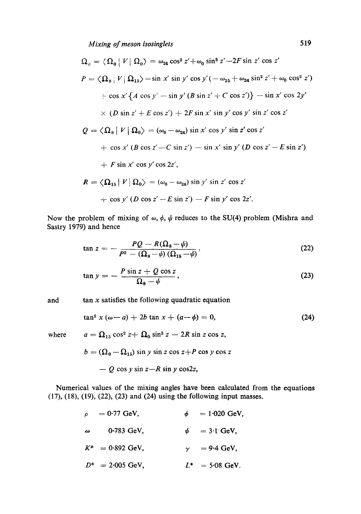*Mixing of meson isosinglets* 519

$$
\Omega_{0} = \langle \Omega_{0} | V | \Omega_{0} \rangle = \omega_{24} \cos^{2} z' + \omega_{0} \sin^{2} z' - 2F \sin z' \cos z'
$$
  
\n
$$
P = \langle \Omega_{8} | V | \Omega_{15} \rangle = \sin x' \sin y' \cos y' (-\omega_{15} + \omega_{24} \sin^{2} z' + \omega_{0} \cos^{2} z')
$$
  
\n
$$
+ \cos x' \{A \cos y' - \sin y' (B \sin z' + C \cos z')\} - \sin x' \cos 2y'
$$
  
\n
$$
\times (D \sin z' + E \cos z') + 2F \sin x' \sin y' \cos y' \sin z' \cos z'
$$
  
\n
$$
Q = \langle \Omega_{8} | V | \Omega_{0} \rangle = (\omega_{0} - \omega_{24}) \sin x' \cos y' \sin z' \cos z'
$$
  
\n
$$
+ \cos x' (B \cos z' - C \sin z') - \sin x' \sin y' (D \cos z' - E \sin z')
$$
  
\n
$$
+ F \sin x' \cos y' \cos 2z',
$$
  
\n
$$
R = \langle \Omega_{15} | V | \Omega_{0} \rangle = (\omega_{0} - \omega_{24}) \sin y' \sin z' \cos z'
$$
  
\n
$$
+ \cos y' (D \cos z' - E \sin z') - F \sin y' \cos 2z'.
$$

Now the problem of mixing of  $\omega$ ,  $\phi$ ,  $\psi$  reduces to the SU(4) problem (Mishra and Sastry 1979) and hence

$$
\tan z = -\frac{PQ - R(\Omega_{\rm s} - \psi)}{P^2 - (\Omega_{\rm s} - \psi)(\Omega_{\rm 15} - \psi)},\tag{22}
$$

$$
\tan y = -\frac{P\sin z + Q\cos z}{\Omega_8 - \psi},\tag{23}
$$

and  $\tan x$  satisfies the following quadratic equation

$$
\tan^2 x (\omega - a) + 2b \tan x + (a - \phi) = 0, \tag{24}
$$

where 
$$
a = \Omega_{15} \cos^2 z + \Omega_0 \sin^2 z - 2R \sin z \cos z,
$$

$$
b = (\Omega_0 - \Omega_{15}) \sin y \sin z \cos z + P \cos y \cos z
$$

$$
- Q \cos y \sin z - R \sin y \cos 2z,
$$

Numerical values of the mixing angles have been calculated from the equations (17), (18), (19), (22), (23) and (24) using the following input masses.

| $\boldsymbol{\rho}$ | $= 0.77$ GeV,              | $\phi = 1.020 \text{ GeV}.$    |
|---------------------|----------------------------|--------------------------------|
| $\omega$            | $0-783$ GeV.               | $\psi = 3 \cdot 1 \cdot GeV$ , |
|                     | $K^* = 0.892$ GeV,         | $\gamma = 9.4$ GeV,            |
|                     | $D^* = 2.005 \text{ GeV},$ | $L^* = 5.08$ GeV.              |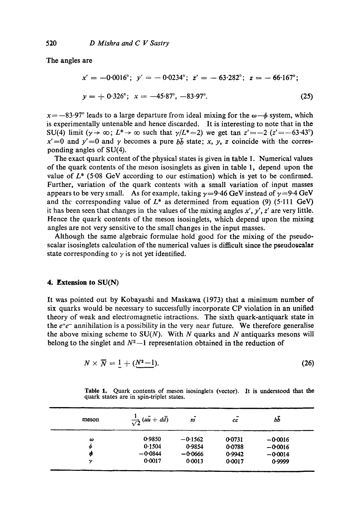The **angles are** 

$$
x' = -0.0016^{\circ}; \ y' = -0.0234^{\circ}; \ z' = -63.282^{\circ}; \ z = -66.167^{\circ};
$$
  

$$
y = +0.326^{\circ}; \ x = -45.87^{\circ}, -83.97^{\circ}.
$$
 (25)

 $x=-83.97^{\circ}$  leads to a large departure from ideal mixing for the  $\omega-\phi$  system, which is experimentally untenable and hence discarded. It is interesting to note that in the SU(4) limit ( $\gamma \rightarrow \infty$ ;  $L^* \rightarrow \infty$  such that  $\gamma/L^* = 2$ ) we get tan  $z' = -2$  ( $z' = -63.43^{\circ}$ )  $x' = 0$  and  $y' = 0$  and  $\gamma$  becomes a pure  $b\bar{b}$  state; x, y, z coincide with the corresponding angles of SU(4).

The exact quark content of the physical states is given in table 1. Numerical values of the quark contents of the meson isosinglets as given in table 1, depend upon the value of  $L^*$  (5.08 GeV according to our estimation) which is yet to be confirmed. Further, variation of the quark contents with a small variation of input masses appears to be very small. As for example, taking  $\gamma=9.46$  GeV instead of  $\gamma=9.4$  GeV and the corresponding value of  $L^*$  as determined from equation (9) (5.111 GeV) it has been seen that changes in the values of the mixing angles  $x'$ ,  $y'$ ,  $z'$  are very little. Hence the quark contents of the meson isosinglets, which depend upon the mixing angles are not very sensitive to the small changes in the input masses.

Although the same algebraic formulae hold good for the mixing of the pseudoscalar isosinglets calculation of the numerical values is difficult since the pseudoscalar state corresponding to  $\gamma$  is not yet identified.

#### **4. Extension to SU(N)**

It was pointed out by Kobayashi and Maskawa (1973) that a minimum number of six quarks would be necessary to successfully incorporate CP violation in an unified theory of weak and electromagnetic intractions. The sixth quark-antiquark state in the  $e^+e^-$  annihilation is a possibility in the very near future. We therefore generalise the above mixing scheme to  $SU(N)$ . With N quarks and N antiquarks mesons will belong to the singlet and  $N^2-1$  representation obtained in the reduction of

$$
N\times \overline{N}=\underline{1}+(N^2-1). \hspace{1.5cm} (26)
$$

Table 1. Quark contents of meson isosinglets (vector). It is understood that the quark states are in spin-triplet states.

| $\frac{1}{\sqrt{2}}(uu + d\overline{d})$ | ۰<br>35   | -<br>cc | bb        |  |
|------------------------------------------|-----------|---------|-----------|--|
| 0.9850                                   | $-0.1562$ | 0.0731  | $-0.0016$ |  |
| 0.1504                                   | 0.9854    | 0.0788  | $-0.0016$ |  |
| $-0.0844$                                | $-0.0666$ | 0.9942  | $-0.0014$ |  |
| 0.0017                                   | 0.0013    | 0.0017  | 0.9999    |  |
|                                          |           |         |           |  |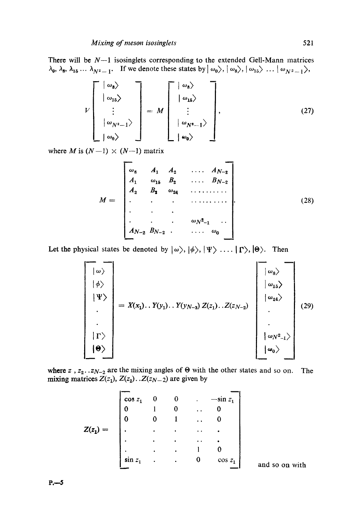There will be  $N-1$  isosinglets corresponding to the extended Gell-Mann matrices  $\lambda_0, \lambda_8, \lambda_{15} \ldots \lambda_{N^2-1}$ . If we denote these states by  $|\omega_0\rangle, |\omega_8\rangle, |\omega_{15}\rangle \ldots |\omega_{N^2-1}\rangle$ ,

$$
V\begin{bmatrix} |\omega_8\rangle \\ |\omega_{15}\rangle \\ \vdots \\ |\omega_{N^2-1}\rangle \\ |\omega_0\rangle \end{bmatrix} = M \begin{bmatrix} |\omega_8\rangle \\ |\omega_{15}\rangle \\ \vdots \\ |\omega_{N^2-1}\rangle \\ |\omega_{N^2-1}\rangle \\ |\omega_0\rangle \end{bmatrix},
$$
(27)

where *M* is  $(N-1) \times (N-1)$  matrix

$$
M = \begin{bmatrix} \omega_8 & A_1 & A_2 & \dots & A_{N-2} \\ A_1 & \omega_{15} & B_2 & \dots & B_{N-2} \\ A_2 & B_2 & \omega_{24} & \dots & \dots \\ \vdots & \vdots & \vdots & \ddots & \vdots \\ A_{N-2} & B_{N-2} & \dots & \omega_0 \end{bmatrix} . \tag{28}
$$

Let the physical states be denoted by  $|\omega\rangle, |\phi\rangle, |\Psi\rangle, |\Psi\rangle, |\Theta\rangle$ . Then

$$
\begin{bmatrix}\n\downarrow & \downarrow & \downarrow & \downarrow & \downarrow & \downarrow & \downarrow & \downarrow & \downarrow & \downarrow & \downarrow & \downarrow & \downarrow & \downarrow & \downarrow & \downarrow & \downarrow & \downarrow & \downarrow & \downarrow & \downarrow & \downarrow & \downarrow & \downarrow & \downarrow & \downarrow & \downarrow & \downarrow & \downarrow & \downarrow & \downarrow & \downarrow & \downarrow & \downarrow & \downarrow & \downarrow & \downarrow & \downarrow & \downarrow & \downarrow & \downarrow & \downarrow & \downarrow & \downarrow & \downarrow & \downarrow & \downarrow & \downarrow & \downarrow & \downarrow & \downarrow & \downarrow & \downarrow & \downarrow & \downarrow & \downarrow & \downarrow & \downarrow & \downarrow & \downarrow & \downarrow & \downarrow & \downarrow & \downarrow & \downarrow & \downarrow & \downarrow & \downarrow & \downarrow & \downarrow & \downarrow & \downarrow & \downarrow & \downarrow & \downarrow & \downarrow & \downarrow & \downarrow & \downarrow & \downarrow & \downarrow & \downarrow & \downarrow & \downarrow & \downarrow & \downarrow & \downarrow & \downarrow & \downarrow & \downarrow & \downarrow & \downarrow & \downarrow & \downarrow & \downarrow & \downarrow & \downarrow & \downarrow & \downarrow & \downarrow & \downarrow & \downarrow & \downarrow & \downarrow & \downarrow & \downarrow & \downarrow & \downarrow & \downarrow & \downarrow & \downarrow & \downarrow & \downarrow & \downarrow & \downarrow & \downarrow & \downarrow & \downarrow & \downarrow & \downarrow & \downarrow & \downarrow & \downarrow & \downarrow & \downarrow & \downarrow
$$

where  $z$ ,  $z_2$ ... $z_{N-2}$  are the mixing angles of  $\Theta$  with the other states and so on. The mixing matrices  $Z(z_1)$ ,  $Z(z_2)$ ... $Z(z_{N-2})$  are given by

|          | $\cos z_1$ | 0         | $\bf{0}$  | ٠                    | $-\sin z_1$ |                |
|----------|------------|-----------|-----------|----------------------|-------------|----------------|
|          | $\bf{0}$   |           |           | $\ddot{\phantom{0}}$ |             |                |
|          | $\bf{0}$   | 0         |           | $\ddot{\phantom{0}}$ |             |                |
| $Z(z_1)$ | ٠          | $\bullet$ | ٠         | $\ddot{\phantom{a}}$ | ٠           |                |
|          | $\bullet$  | ٠         | ٠         | $\ddot{\phantom{0}}$ |             |                |
|          | ٠          | $\bullet$ | ٠         |                      |             |                |
|          | $\sin z_1$ |           | $\bullet$ | 0                    | $\cos z_1$  |                |
|          |            |           |           |                      |             | and so on with |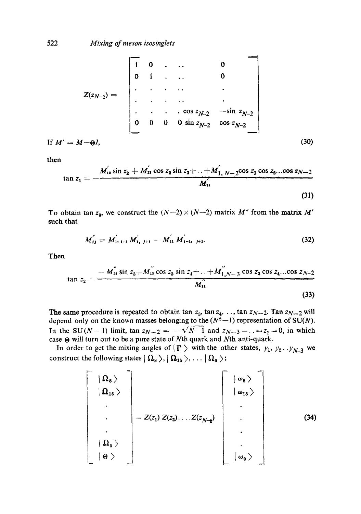$$
Z(z_{N-2}) = \begin{bmatrix} 1 & 0 & \cdots & 0 \\ 0 & 1 & \cdots & 0 \\ \vdots & \vdots & \ddots & \vdots \\ 0 & 0 & 0 & 0 \sin z_{N-2} & -\sin z_{N-2} \\ 0 & 0 & 0 & \sin z_{N-2} & \cos z_{N-2} \end{bmatrix}
$$
  
If  $M' = M - \Theta I$ , (30)

then

$$
\tan z_1 = -\frac{M_{12}^{'}}{4} \sin \frac{z_2 + M_{13}^{'}}{4} \cos \frac{z_2 \sin \frac{z_3 + \dots + X_{1}}{N_{11}}}{M_{11}} \tag{31}
$$

To obtain tan  $z_2$ , we construct the  $(N-2) \times (N-2)$  matrix M' from the matrix M' such that

$$
M_{ij}^{''}=M_{1},_{i+1}^{'}M_{1},_{j+1}^{'}-M_{11}^{'}M_{i+1},_{j+1}^{'}.
$$
 (32)

Then

$$
\tan z_2 = \frac{-M_{12}^{''} \sin z_3 + M_{13}^{''} \cos z_3 \sin z_4 + \ldots + M_{1,N-3}^{''} \cos z_3 \cos z_4 \ldots \cos z_{N-2}}{M_{11}^{''}}
$$
\n(33)

The same procedure is repeated to obtain  $\tan z_3$ ,  $\tan z_4$ , ...,  $\tan z_{N-2}$ . Tan  $z_{N-2}$  will depend only on the known masses belonging to the  $(N^2-1)$  representation of SU(N). In the SU(N-1) limit,  $\tan z_{N-2} = -\sqrt{N-1}$  and  $z_{N-3} = ... = z_1 = 0$ , in which case  $\Theta$  will turn out to be a pure state of Nth quark and Nth anti-quark.

In order to get the mixing angles of  $|\Gamma\rangle$  with the other states,  $y_1, y_2 \ldots y_{N-3}$  we construct the following states  $| \Omega_8 \rangle, | \Omega_{15} \rangle, \ldots | \Omega_0 \rangle$ :

$$
\begin{bmatrix}\n\vert \Omega_{8} \rangle \\
\vert \Omega_{15} \rangle \\
\vdots \\
\vert \Omega_{0} \rangle \\
\vert \Theta \rangle\n\end{bmatrix} = Z(z_{1}) Z(z_{2}) \dots Z(z_{N-2}) \begin{bmatrix}\n\vert \omega_{8} \rangle \\
\vert \omega_{15} \rangle \\
\vdots \\
\vdots \\
\vert \omega_{0} \rangle\n\end{bmatrix}.
$$
\n(34)